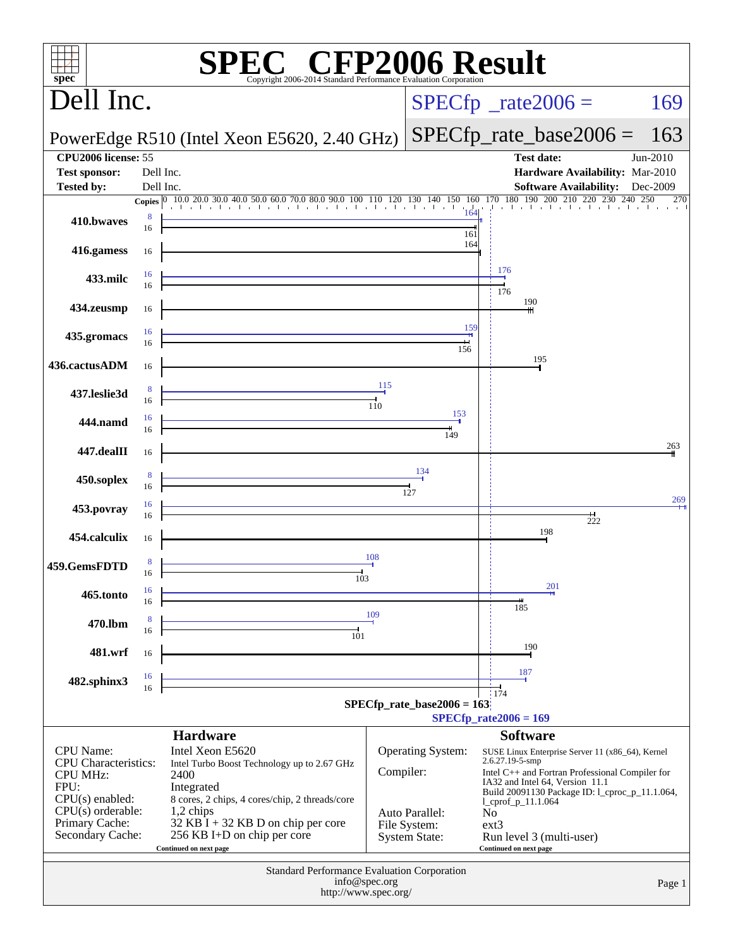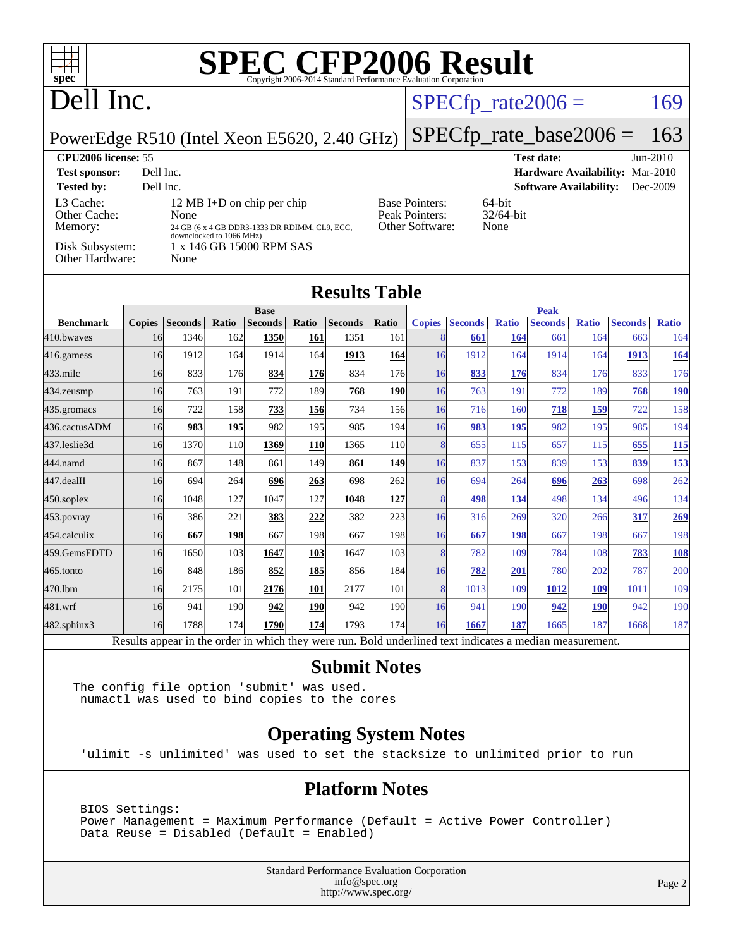| $spec^{\circ}$                                                             |               |                |                          | SPECCEP2006 Evaluation Corporation                                                                      |            |                |              |                                                                   |                            |                             |                               |              |                                 |              |
|----------------------------------------------------------------------------|---------------|----------------|--------------------------|---------------------------------------------------------------------------------------------------------|------------|----------------|--------------|-------------------------------------------------------------------|----------------------------|-----------------------------|-------------------------------|--------------|---------------------------------|--------------|
| Dell Inc.                                                                  |               |                |                          |                                                                                                         |            |                |              |                                                                   | $SPECfp\_rate2006 =$       |                             |                               |              |                                 | 169          |
| PowerEdge R510 (Intel Xeon E5620, 2.40 GHz)                                |               |                |                          |                                                                                                         |            |                |              |                                                                   | $SPECfp\_rate\_base2006 =$ |                             |                               |              |                                 | 163          |
| <b>CPU2006</b> license: 55                                                 |               |                |                          |                                                                                                         |            |                |              |                                                                   |                            |                             | <b>Test date:</b>             |              |                                 | Jun-2010     |
| <b>Test sponsor:</b>                                                       | Dell Inc.     |                |                          |                                                                                                         |            |                |              |                                                                   |                            |                             |                               |              | Hardware Availability: Mar-2010 |              |
| <b>Tested by:</b>                                                          | Dell Inc.     |                |                          |                                                                                                         |            |                |              |                                                                   |                            |                             | <b>Software Availability:</b> |              |                                 | Dec-2009     |
| L3 Cache:<br>Other Cache:<br>Memory:<br>Disk Subsystem:<br>Other Hardware: |               | None<br>None   | downclocked to 1066 MHz) | 12 MB I+D on chip per chip<br>24 GB (6 x 4 GB DDR3-1333 DR RDIMM, CL9, ECC,<br>1 x 146 GB 15000 RPM SAS |            |                |              | <b>Base Pointers:</b><br><b>Peak Pointers:</b><br>Other Software: |                            | 64-bit<br>32/64-bit<br>None |                               |              |                                 |              |
| <b>Results Table</b>                                                       |               |                |                          |                                                                                                         |            |                |              |                                                                   |                            |                             |                               |              |                                 |              |
| <b>Benchmark</b>                                                           | <b>Copies</b> | <b>Seconds</b> | Ratio                    | <b>Base</b><br><b>Seconds</b>                                                                           | Ratio      | <b>Seconds</b> | <b>Ratio</b> | <b>Copies</b>                                                     | <b>Seconds</b>             | <b>Ratio</b>                | <b>Peak</b><br><b>Seconds</b> | <b>Ratio</b> | <b>Seconds</b>                  | <b>Ratio</b> |
| 410.bwaves                                                                 | 16            | 1346           | 162                      | 1350                                                                                                    | 161        | 1351           | 161          | 8                                                                 | 661                        | <b>164</b>                  | 661                           | 164          | 663                             | 164          |
| 416.gamess                                                                 | 16            | 1912           | 164                      | 1914                                                                                                    | 164        | 1913           | 164          | 16                                                                | 1912                       | 164                         | 1914                          | 164          | 1913                            | <b>164</b>   |
| 433.milc                                                                   | 16            | 833            | 176                      | 834                                                                                                     | 176        | 834            | 176          | 16                                                                | 833                        | 176                         | 834                           | 176          | 833                             | 176          |
| 434.zeusmp                                                                 | 16            | 763            | 191                      | 772                                                                                                     | 189        | 768            | 190          | 16                                                                | 763                        | 191                         | 772                           | 189          | 768                             | <b>190</b>   |
| 435.gromacs                                                                | 16            | 722            | 158                      | 733                                                                                                     | 156        | 734            | 156          | 16                                                                | 716                        | 160                         | 718                           | 159          | 722                             | 158          |
| 436.cactusADM                                                              | 16            | 983            | <u>195</u>               | 982                                                                                                     | 195        | 985            | 194          | 16                                                                | 983                        | 195                         | 982                           | 195          | 985                             | 194          |
| 437.leslie3d                                                               | 16            | 1370           | 110                      | 1369                                                                                                    | <b>110</b> | 1365           | 110          | 8                                                                 | 655                        | 115                         | 657                           | 115          | 655                             | 115          |
| 444.namd                                                                   | 16            | 867            | 148                      | 861                                                                                                     | 149        | 861            | 149          | 16                                                                | 837                        | 153                         | 839                           | 153          | 839                             | 153          |
| 447.dealII                                                                 | 16            | 694            | 264                      | 696                                                                                                     | 263        | 698            | 262          | 16                                                                | 694                        | 264                         | 696                           | 263          | 698                             | 262          |
| 450.soplex                                                                 | 16            | 1048           | 127                      | 1047                                                                                                    | 127        | 1048           | 127          | 8                                                                 | 498                        | 134                         | 498                           | 134          | 496                             | 134          |
| 453.povray                                                                 | 16            | 386            | 221                      | 383                                                                                                     | 222        | 382            | 223          | 16                                                                | 316                        | 269                         | 320                           | 266          | 317                             | 269          |
| 454.calculix                                                               | 16            | 667            | 198                      | 667                                                                                                     | 198        | 667            | 198          | 16                                                                | 667                        | 198                         | 667                           | 198          | 667                             | 198          |
| 459.GemsFDTD                                                               | 16            | 1650           | 103                      | 1647                                                                                                    | 103        | 1647           | 103          | 8                                                                 | 782                        | 109                         | 784                           | 108          | 783                             | 108          |
| 465.tonto                                                                  | 16            | 848            | 186                      | 852                                                                                                     | 185        | 856            | 184          | 16                                                                | 782                        | 201                         | 780                           | 202          | 787                             | 200          |

Results appear in the [order in which they were run.](http://www.spec.org/auto/cpu2006/Docs/result-fields.html#RunOrder) Bold underlined text [indicates a median measurement.](http://www.spec.org/auto/cpu2006/Docs/result-fields.html#Median)

[470.lbm](http://www.spec.org/auto/cpu2006/Docs/470.lbm.html) 16 2175 101 **[2176](http://www.spec.org/auto/cpu2006/Docs/result-fields.html#Median) [101](http://www.spec.org/auto/cpu2006/Docs/result-fields.html#Median)** 2177 101 8 1013 109 **[1012](http://www.spec.org/auto/cpu2006/Docs/result-fields.html#Median) [109](http://www.spec.org/auto/cpu2006/Docs/result-fields.html#Median)** 1011 109 [481.wrf](http://www.spec.org/auto/cpu2006/Docs/481.wrf.html) 16 941 190 **[942](http://www.spec.org/auto/cpu2006/Docs/result-fields.html#Median) [190](http://www.spec.org/auto/cpu2006/Docs/result-fields.html#Median)** 942 190 16 941 190 **[942](http://www.spec.org/auto/cpu2006/Docs/result-fields.html#Median) [190](http://www.spec.org/auto/cpu2006/Docs/result-fields.html#Median)** 942 190 [482.sphinx3](http://www.spec.org/auto/cpu2006/Docs/482.sphinx3.html) 16 1788 174 **[1790](http://www.spec.org/auto/cpu2006/Docs/result-fields.html#Median) [174](http://www.spec.org/auto/cpu2006/Docs/result-fields.html#Median)** 1793 174 16 **[1667](http://www.spec.org/auto/cpu2006/Docs/result-fields.html#Median) [187](http://www.spec.org/auto/cpu2006/Docs/result-fields.html#Median)** 1665 187 1668 187

#### **[Submit Notes](http://www.spec.org/auto/cpu2006/Docs/result-fields.html#SubmitNotes)**

The config file option 'submit' was used. numactl was used to bind copies to the cores

#### **[Operating System Notes](http://www.spec.org/auto/cpu2006/Docs/result-fields.html#OperatingSystemNotes)**

'ulimit -s unlimited' was used to set the stacksize to unlimited prior to run

#### **[Platform Notes](http://www.spec.org/auto/cpu2006/Docs/result-fields.html#PlatformNotes)**

 BIOS Settings: Power Management = Maximum Performance (Default = Active Power Controller) Data Reuse = Disabled (Default = Enabled)

> Standard Performance Evaluation Corporation [info@spec.org](mailto:info@spec.org) <http://www.spec.org/>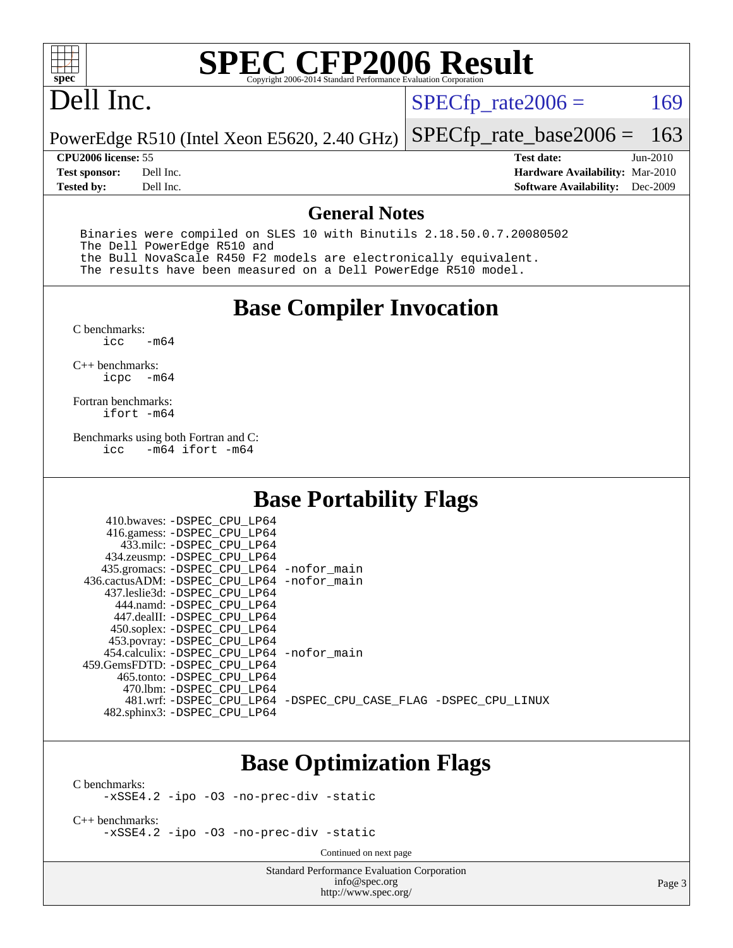

## Dell Inc.

 $SPECTp_rate2006 = 169$ 

PowerEdge R510 (Intel Xeon E5620, 2.40 GHz) [SPECfp\\_rate\\_base2006 =](http://www.spec.org/auto/cpu2006/Docs/result-fields.html#SPECfpratebase2006) 163

**[Tested by:](http://www.spec.org/auto/cpu2006/Docs/result-fields.html#Testedby)** Dell Inc. **[Software Availability:](http://www.spec.org/auto/cpu2006/Docs/result-fields.html#SoftwareAvailability)** Dec-2009

**[CPU2006 license:](http://www.spec.org/auto/cpu2006/Docs/result-fields.html#CPU2006license)** 55 **[Test date:](http://www.spec.org/auto/cpu2006/Docs/result-fields.html#Testdate)** Jun-2010 **[Test sponsor:](http://www.spec.org/auto/cpu2006/Docs/result-fields.html#Testsponsor)** Dell Inc. **[Hardware Availability:](http://www.spec.org/auto/cpu2006/Docs/result-fields.html#HardwareAvailability)** Mar-2010

#### **[General Notes](http://www.spec.org/auto/cpu2006/Docs/result-fields.html#GeneralNotes)**

 Binaries were compiled on SLES 10 with Binutils 2.18.50.0.7.20080502 The Dell PowerEdge R510 and the Bull NovaScale R450 F2 models are electronically equivalent. The results have been measured on a Dell PowerEdge R510 model.

#### **[Base Compiler Invocation](http://www.spec.org/auto/cpu2006/Docs/result-fields.html#BaseCompilerInvocation)**

 $C$  benchmarks:<br>icc  $-m64$ 

[C++ benchmarks:](http://www.spec.org/auto/cpu2006/Docs/result-fields.html#CXXbenchmarks) [icpc -m64](http://www.spec.org/cpu2006/results/res2010q3/cpu2006-20100913-13220.flags.html#user_CXXbase_intel_icpc_64bit_bedb90c1146cab66620883ef4f41a67e)

[Fortran benchmarks](http://www.spec.org/auto/cpu2006/Docs/result-fields.html#Fortranbenchmarks): [ifort -m64](http://www.spec.org/cpu2006/results/res2010q3/cpu2006-20100913-13220.flags.html#user_FCbase_intel_ifort_64bit_ee9d0fb25645d0210d97eb0527dcc06e)

[Benchmarks using both Fortran and C](http://www.spec.org/auto/cpu2006/Docs/result-fields.html#BenchmarksusingbothFortranandC):<br>icc -m64 ifort -m64  $-m64$  ifort  $-m64$ 

410.bwayes: DODEC CDU LD64

### **[Base Portability Flags](http://www.spec.org/auto/cpu2006/Docs/result-fields.html#BasePortabilityFlags)**

| HIU.UWAVCS. -DSPEC CPU LPUT                  |                                                                |
|----------------------------------------------|----------------------------------------------------------------|
| 416.gamess: -DSPEC_CPU_LP64                  |                                                                |
| 433.milc: -DSPEC CPU LP64                    |                                                                |
| 434.zeusmp: -DSPEC_CPU_LP64                  |                                                                |
| 435.gromacs: -DSPEC_CPU_LP64 -nofor_main     |                                                                |
| 436.cactusADM: - DSPEC CPU LP64 - nofor main |                                                                |
| 437.leslie3d: -DSPEC CPU LP64                |                                                                |
| 444.namd: -DSPEC CPU LP64                    |                                                                |
| 447.dealII: -DSPEC CPU LP64                  |                                                                |
| 450.soplex: -DSPEC_CPU_LP64                  |                                                                |
| 453.povray: -DSPEC_CPU_LP64                  |                                                                |
| 454.calculix: -DSPEC_CPU_LP64 -nofor_main    |                                                                |
| 459. GemsFDTD: - DSPEC CPU LP64              |                                                                |
| 465.tonto: - DSPEC CPU LP64                  |                                                                |
| 470.1bm: - DSPEC CPU LP64                    |                                                                |
|                                              | 481.wrf: -DSPEC CPU_LP64 -DSPEC_CPU_CASE_FLAG -DSPEC_CPU_LINUX |
| 482.sphinx3: -DSPEC_CPU_LP64                 |                                                                |
|                                              |                                                                |

### **[Base Optimization Flags](http://www.spec.org/auto/cpu2006/Docs/result-fields.html#BaseOptimizationFlags)**

[C benchmarks](http://www.spec.org/auto/cpu2006/Docs/result-fields.html#Cbenchmarks):

[-xSSE4.2](http://www.spec.org/cpu2006/results/res2010q3/cpu2006-20100913-13220.flags.html#user_CCbase_f-xSSE42_f91528193cf0b216347adb8b939d4107) [-ipo](http://www.spec.org/cpu2006/results/res2010q3/cpu2006-20100913-13220.flags.html#user_CCbase_f-ipo) [-O3](http://www.spec.org/cpu2006/results/res2010q3/cpu2006-20100913-13220.flags.html#user_CCbase_f-O3) [-no-prec-div](http://www.spec.org/cpu2006/results/res2010q3/cpu2006-20100913-13220.flags.html#user_CCbase_f-no-prec-div) [-static](http://www.spec.org/cpu2006/results/res2010q3/cpu2006-20100913-13220.flags.html#user_CCbase_f-static)

[C++ benchmarks:](http://www.spec.org/auto/cpu2006/Docs/result-fields.html#CXXbenchmarks) [-xSSE4.2](http://www.spec.org/cpu2006/results/res2010q3/cpu2006-20100913-13220.flags.html#user_CXXbase_f-xSSE42_f91528193cf0b216347adb8b939d4107) [-ipo](http://www.spec.org/cpu2006/results/res2010q3/cpu2006-20100913-13220.flags.html#user_CXXbase_f-ipo) [-O3](http://www.spec.org/cpu2006/results/res2010q3/cpu2006-20100913-13220.flags.html#user_CXXbase_f-O3) [-no-prec-div](http://www.spec.org/cpu2006/results/res2010q3/cpu2006-20100913-13220.flags.html#user_CXXbase_f-no-prec-div) [-static](http://www.spec.org/cpu2006/results/res2010q3/cpu2006-20100913-13220.flags.html#user_CXXbase_f-static)

Continued on next page

Standard Performance Evaluation Corporation [info@spec.org](mailto:info@spec.org) <http://www.spec.org/>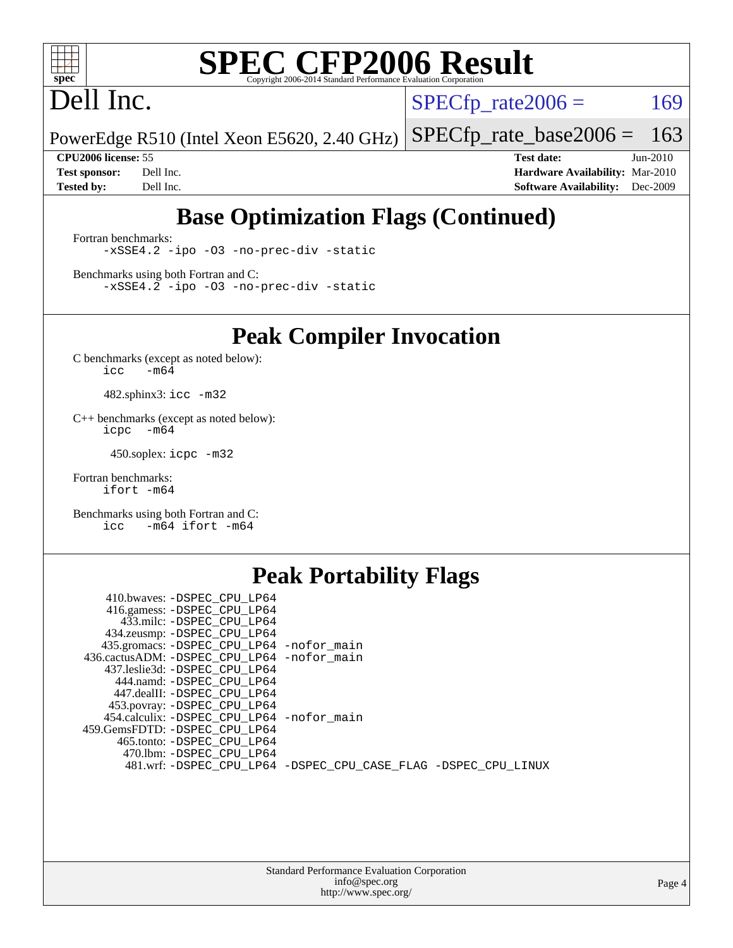

## Dell Inc.

 $SPECTp_rate2006 = 169$ 

PowerEdge R510 (Intel Xeon E5620, 2.40 GHz) [SPECfp\\_rate\\_base2006 =](http://www.spec.org/auto/cpu2006/Docs/result-fields.html#SPECfpratebase2006) 163

**[CPU2006 license:](http://www.spec.org/auto/cpu2006/Docs/result-fields.html#CPU2006license)** 55 **[Test date:](http://www.spec.org/auto/cpu2006/Docs/result-fields.html#Testdate)** Jun-2010 **[Test sponsor:](http://www.spec.org/auto/cpu2006/Docs/result-fields.html#Testsponsor)** Dell Inc. **[Hardware Availability:](http://www.spec.org/auto/cpu2006/Docs/result-fields.html#HardwareAvailability)** Mar-2010 **[Tested by:](http://www.spec.org/auto/cpu2006/Docs/result-fields.html#Testedby)** Dell Inc. **[Software Availability:](http://www.spec.org/auto/cpu2006/Docs/result-fields.html#SoftwareAvailability)** Dec-2009

## **[Base Optimization Flags \(Continued\)](http://www.spec.org/auto/cpu2006/Docs/result-fields.html#BaseOptimizationFlags)**

[Fortran benchmarks](http://www.spec.org/auto/cpu2006/Docs/result-fields.html#Fortranbenchmarks): [-xSSE4.2](http://www.spec.org/cpu2006/results/res2010q3/cpu2006-20100913-13220.flags.html#user_FCbase_f-xSSE42_f91528193cf0b216347adb8b939d4107) [-ipo](http://www.spec.org/cpu2006/results/res2010q3/cpu2006-20100913-13220.flags.html#user_FCbase_f-ipo) [-O3](http://www.spec.org/cpu2006/results/res2010q3/cpu2006-20100913-13220.flags.html#user_FCbase_f-O3) [-no-prec-div](http://www.spec.org/cpu2006/results/res2010q3/cpu2006-20100913-13220.flags.html#user_FCbase_f-no-prec-div) [-static](http://www.spec.org/cpu2006/results/res2010q3/cpu2006-20100913-13220.flags.html#user_FCbase_f-static)

[Benchmarks using both Fortran and C](http://www.spec.org/auto/cpu2006/Docs/result-fields.html#BenchmarksusingbothFortranandC): [-xSSE4.2](http://www.spec.org/cpu2006/results/res2010q3/cpu2006-20100913-13220.flags.html#user_CC_FCbase_f-xSSE42_f91528193cf0b216347adb8b939d4107) [-ipo](http://www.spec.org/cpu2006/results/res2010q3/cpu2006-20100913-13220.flags.html#user_CC_FCbase_f-ipo) [-O3](http://www.spec.org/cpu2006/results/res2010q3/cpu2006-20100913-13220.flags.html#user_CC_FCbase_f-O3) [-no-prec-div](http://www.spec.org/cpu2006/results/res2010q3/cpu2006-20100913-13220.flags.html#user_CC_FCbase_f-no-prec-div) [-static](http://www.spec.org/cpu2006/results/res2010q3/cpu2006-20100913-13220.flags.html#user_CC_FCbase_f-static)

**[Peak Compiler Invocation](http://www.spec.org/auto/cpu2006/Docs/result-fields.html#PeakCompilerInvocation)**

[C benchmarks \(except as noted below\)](http://www.spec.org/auto/cpu2006/Docs/result-fields.html#Cbenchmarksexceptasnotedbelow):  $\text{icc}$  -m64

482.sphinx3: [icc -m32](http://www.spec.org/cpu2006/results/res2010q3/cpu2006-20100913-13220.flags.html#user_peakCCLD482_sphinx3_intel_icc_32bit_a6a621f8d50482236b970c6ac5f55f93)

[C++ benchmarks \(except as noted below\):](http://www.spec.org/auto/cpu2006/Docs/result-fields.html#CXXbenchmarksexceptasnotedbelow) [icpc -m64](http://www.spec.org/cpu2006/results/res2010q3/cpu2006-20100913-13220.flags.html#user_CXXpeak_intel_icpc_64bit_bedb90c1146cab66620883ef4f41a67e)

450.soplex: [icpc -m32](http://www.spec.org/cpu2006/results/res2010q3/cpu2006-20100913-13220.flags.html#user_peakCXXLD450_soplex_intel_icpc_32bit_4e5a5ef1a53fd332b3c49e69c3330699)

[Fortran benchmarks](http://www.spec.org/auto/cpu2006/Docs/result-fields.html#Fortranbenchmarks): [ifort -m64](http://www.spec.org/cpu2006/results/res2010q3/cpu2006-20100913-13220.flags.html#user_FCpeak_intel_ifort_64bit_ee9d0fb25645d0210d97eb0527dcc06e)

[Benchmarks using both Fortran and C](http://www.spec.org/auto/cpu2006/Docs/result-fields.html#BenchmarksusingbothFortranandC): [icc -m64](http://www.spec.org/cpu2006/results/res2010q3/cpu2006-20100913-13220.flags.html#user_CC_FCpeak_intel_icc_64bit_0b7121f5ab7cfabee23d88897260401c) [ifort -m64](http://www.spec.org/cpu2006/results/res2010q3/cpu2006-20100913-13220.flags.html#user_CC_FCpeak_intel_ifort_64bit_ee9d0fb25645d0210d97eb0527dcc06e)

### **[Peak Portability Flags](http://www.spec.org/auto/cpu2006/Docs/result-fields.html#PeakPortabilityFlags)**

| 410.bwaves: -DSPEC CPU LP64                                    |  |
|----------------------------------------------------------------|--|
| 416.gamess: -DSPEC_CPU_LP64                                    |  |
| 433.milc: -DSPEC CPU LP64                                      |  |
| 434.zeusmp: -DSPEC_CPU_LP64                                    |  |
| 435.gromacs: -DSPEC_CPU_LP64 -nofor_main                       |  |
| 436.cactusADM: -DSPEC_CPU_LP64 -nofor_main                     |  |
| 437.leslie3d: -DSPEC CPU LP64                                  |  |
| 444.namd: -DSPEC_CPU_LP64                                      |  |
| 447.dealII: -DSPEC CPU LP64                                    |  |
| 453.povray: -DSPEC_CPU_LP64                                    |  |
| 454.calculix: -DSPEC_CPU_LP64 -nofor_main                      |  |
| 459.GemsFDTD: -DSPEC CPU LP64                                  |  |
| 465.tonto: -DSPEC CPU LP64                                     |  |
| 470.1bm: - DSPEC CPU LP64                                      |  |
| 481.wrf: -DSPEC_CPU_LP64 -DSPEC_CPU_CASE_FLAG -DSPEC_CPU_LINUX |  |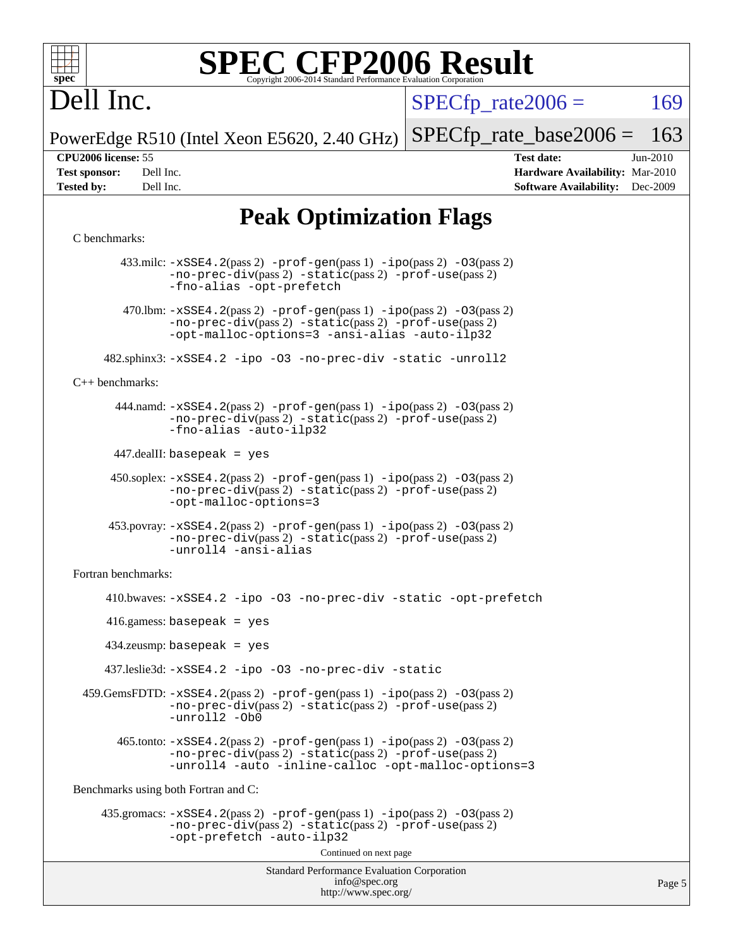

# Dell Inc.

 $SPECTp\_rate2006 = 169$ 

PowerEdge R510 (Intel Xeon E5620, 2.40 GHz) [SPECfp\\_rate\\_base2006 =](http://www.spec.org/auto/cpu2006/Docs/result-fields.html#SPECfpratebase2006) 163

**[CPU2006 license:](http://www.spec.org/auto/cpu2006/Docs/result-fields.html#CPU2006license)** 55 **[Test date:](http://www.spec.org/auto/cpu2006/Docs/result-fields.html#Testdate)** Jun-2010 **[Test sponsor:](http://www.spec.org/auto/cpu2006/Docs/result-fields.html#Testsponsor)** Dell Inc. **[Hardware Availability:](http://www.spec.org/auto/cpu2006/Docs/result-fields.html#HardwareAvailability)** Mar-2010 **[Tested by:](http://www.spec.org/auto/cpu2006/Docs/result-fields.html#Testedby)** Dell Inc. **[Software Availability:](http://www.spec.org/auto/cpu2006/Docs/result-fields.html#SoftwareAvailability)** Dec-2009

Page 5

## **[Peak Optimization Flags](http://www.spec.org/auto/cpu2006/Docs/result-fields.html#PeakOptimizationFlags)**

#### [C benchmarks](http://www.spec.org/auto/cpu2006/Docs/result-fields.html#Cbenchmarks):

Standard Performance Evaluation Corporation [info@spec.org](mailto:info@spec.org) <http://www.spec.org/> 433.milc: [-xSSE4.2](http://www.spec.org/cpu2006/results/res2010q3/cpu2006-20100913-13220.flags.html#user_peakPASS2_CFLAGSPASS2_LDFLAGS433_milc_f-xSSE42_f91528193cf0b216347adb8b939d4107)(pass 2) [-prof-gen](http://www.spec.org/cpu2006/results/res2010q3/cpu2006-20100913-13220.flags.html#user_peakPASS1_CFLAGSPASS1_LDFLAGS433_milc_prof_gen_e43856698f6ca7b7e442dfd80e94a8fc)(pass 1) [-ipo](http://www.spec.org/cpu2006/results/res2010q3/cpu2006-20100913-13220.flags.html#user_peakPASS2_CFLAGSPASS2_LDFLAGS433_milc_f-ipo)(pass 2) [-O3](http://www.spec.org/cpu2006/results/res2010q3/cpu2006-20100913-13220.flags.html#user_peakPASS2_CFLAGSPASS2_LDFLAGS433_milc_f-O3)(pass 2) [-no-prec-div](http://www.spec.org/cpu2006/results/res2010q3/cpu2006-20100913-13220.flags.html#user_peakPASS2_CFLAGSPASS2_LDFLAGS433_milc_f-no-prec-div)(pass 2) [-static](http://www.spec.org/cpu2006/results/res2010q3/cpu2006-20100913-13220.flags.html#user_peakPASS2_CFLAGSPASS2_LDFLAGS433_milc_f-static)(pass 2) [-prof-use](http://www.spec.org/cpu2006/results/res2010q3/cpu2006-20100913-13220.flags.html#user_peakPASS2_CFLAGSPASS2_LDFLAGS433_milc_prof_use_bccf7792157ff70d64e32fe3e1250b55)(pass 2) [-fno-alias](http://www.spec.org/cpu2006/results/res2010q3/cpu2006-20100913-13220.flags.html#user_peakOPTIMIZE433_milc_f-no-alias_694e77f6c5a51e658e82ccff53a9e63a) [-opt-prefetch](http://www.spec.org/cpu2006/results/res2010q3/cpu2006-20100913-13220.flags.html#user_peakOPTIMIZE433_milc_f-opt-prefetch) 470.1bm:  $-xSSE4$ . 2(pass 2)  $-prof-gen(pass 1) -ipo(pass 2) -O3(pass 2)$  $-prof-gen(pass 1) -ipo(pass 2) -O3(pass 2)$  $-prof-gen(pass 1) -ipo(pass 2) -O3(pass 2)$  $-prof-gen(pass 1) -ipo(pass 2) -O3(pass 2)$  $-prof-gen(pass 1) -ipo(pass 2) -O3(pass 2)$  $-prof-gen(pass 1) -ipo(pass 2) -O3(pass 2)$ [-no-prec-div](http://www.spec.org/cpu2006/results/res2010q3/cpu2006-20100913-13220.flags.html#user_peakPASS2_CFLAGSPASS2_LDFLAGS470_lbm_f-no-prec-div)(pass 2) [-static](http://www.spec.org/cpu2006/results/res2010q3/cpu2006-20100913-13220.flags.html#user_peakPASS2_CFLAGSPASS2_LDFLAGS470_lbm_f-static)(pass 2) [-prof-use](http://www.spec.org/cpu2006/results/res2010q3/cpu2006-20100913-13220.flags.html#user_peakPASS2_CFLAGSPASS2_LDFLAGS470_lbm_prof_use_bccf7792157ff70d64e32fe3e1250b55)(pass 2) [-opt-malloc-options=3](http://www.spec.org/cpu2006/results/res2010q3/cpu2006-20100913-13220.flags.html#user_peakOPTIMIZE470_lbm_f-opt-malloc-options_13ab9b803cf986b4ee62f0a5998c2238) [-ansi-alias](http://www.spec.org/cpu2006/results/res2010q3/cpu2006-20100913-13220.flags.html#user_peakOPTIMIZE470_lbm_f-ansi-alias) [-auto-ilp32](http://www.spec.org/cpu2006/results/res2010q3/cpu2006-20100913-13220.flags.html#user_peakCOPTIMIZE470_lbm_f-auto-ilp32) 482.sphinx3: [-xSSE4.2](http://www.spec.org/cpu2006/results/res2010q3/cpu2006-20100913-13220.flags.html#user_peakOPTIMIZE482_sphinx3_f-xSSE42_f91528193cf0b216347adb8b939d4107) [-ipo](http://www.spec.org/cpu2006/results/res2010q3/cpu2006-20100913-13220.flags.html#user_peakOPTIMIZE482_sphinx3_f-ipo) [-O3](http://www.spec.org/cpu2006/results/res2010q3/cpu2006-20100913-13220.flags.html#user_peakOPTIMIZE482_sphinx3_f-O3) [-no-prec-div](http://www.spec.org/cpu2006/results/res2010q3/cpu2006-20100913-13220.flags.html#user_peakOPTIMIZE482_sphinx3_f-no-prec-div) [-static](http://www.spec.org/cpu2006/results/res2010q3/cpu2006-20100913-13220.flags.html#user_peakOPTIMIZE482_sphinx3_f-static) [-unroll2](http://www.spec.org/cpu2006/results/res2010q3/cpu2006-20100913-13220.flags.html#user_peakCOPTIMIZE482_sphinx3_f-unroll_784dae83bebfb236979b41d2422d7ec2) [C++ benchmarks:](http://www.spec.org/auto/cpu2006/Docs/result-fields.html#CXXbenchmarks) 444.namd: [-xSSE4.2](http://www.spec.org/cpu2006/results/res2010q3/cpu2006-20100913-13220.flags.html#user_peakPASS2_CXXFLAGSPASS2_LDFLAGS444_namd_f-xSSE42_f91528193cf0b216347adb8b939d4107)(pass 2) [-prof-gen](http://www.spec.org/cpu2006/results/res2010q3/cpu2006-20100913-13220.flags.html#user_peakPASS1_CXXFLAGSPASS1_LDFLAGS444_namd_prof_gen_e43856698f6ca7b7e442dfd80e94a8fc)(pass 1) [-ipo](http://www.spec.org/cpu2006/results/res2010q3/cpu2006-20100913-13220.flags.html#user_peakPASS2_CXXFLAGSPASS2_LDFLAGS444_namd_f-ipo)(pass 2) [-O3](http://www.spec.org/cpu2006/results/res2010q3/cpu2006-20100913-13220.flags.html#user_peakPASS2_CXXFLAGSPASS2_LDFLAGS444_namd_f-O3)(pass 2) [-no-prec-div](http://www.spec.org/cpu2006/results/res2010q3/cpu2006-20100913-13220.flags.html#user_peakPASS2_CXXFLAGSPASS2_LDFLAGS444_namd_f-no-prec-div)(pass 2) [-static](http://www.spec.org/cpu2006/results/res2010q3/cpu2006-20100913-13220.flags.html#user_peakPASS2_CXXFLAGSPASS2_LDFLAGS444_namd_f-static)(pass 2) [-prof-use](http://www.spec.org/cpu2006/results/res2010q3/cpu2006-20100913-13220.flags.html#user_peakPASS2_CXXFLAGSPASS2_LDFLAGS444_namd_prof_use_bccf7792157ff70d64e32fe3e1250b55)(pass 2) [-fno-alias](http://www.spec.org/cpu2006/results/res2010q3/cpu2006-20100913-13220.flags.html#user_peakCXXOPTIMIZE444_namd_f-no-alias_694e77f6c5a51e658e82ccff53a9e63a) [-auto-ilp32](http://www.spec.org/cpu2006/results/res2010q3/cpu2006-20100913-13220.flags.html#user_peakCXXOPTIMIZE444_namd_f-auto-ilp32) 447.dealII: basepeak = yes 450.soplex: [-xSSE4.2](http://www.spec.org/cpu2006/results/res2010q3/cpu2006-20100913-13220.flags.html#user_peakPASS2_CXXFLAGSPASS2_LDFLAGS450_soplex_f-xSSE42_f91528193cf0b216347adb8b939d4107)(pass 2) [-prof-gen](http://www.spec.org/cpu2006/results/res2010q3/cpu2006-20100913-13220.flags.html#user_peakPASS1_CXXFLAGSPASS1_LDFLAGS450_soplex_prof_gen_e43856698f6ca7b7e442dfd80e94a8fc)(pass 1) [-ipo](http://www.spec.org/cpu2006/results/res2010q3/cpu2006-20100913-13220.flags.html#user_peakPASS2_CXXFLAGSPASS2_LDFLAGS450_soplex_f-ipo)(pass 2) [-O3](http://www.spec.org/cpu2006/results/res2010q3/cpu2006-20100913-13220.flags.html#user_peakPASS2_CXXFLAGSPASS2_LDFLAGS450_soplex_f-O3)(pass 2) [-no-prec-div](http://www.spec.org/cpu2006/results/res2010q3/cpu2006-20100913-13220.flags.html#user_peakPASS2_CXXFLAGSPASS2_LDFLAGS450_soplex_f-no-prec-div)(pass 2) [-static](http://www.spec.org/cpu2006/results/res2010q3/cpu2006-20100913-13220.flags.html#user_peakPASS2_CXXFLAGSPASS2_LDFLAGS450_soplex_f-static)(pass 2) [-prof-use](http://www.spec.org/cpu2006/results/res2010q3/cpu2006-20100913-13220.flags.html#user_peakPASS2_CXXFLAGSPASS2_LDFLAGS450_soplex_prof_use_bccf7792157ff70d64e32fe3e1250b55)(pass 2) [-opt-malloc-options=3](http://www.spec.org/cpu2006/results/res2010q3/cpu2006-20100913-13220.flags.html#user_peakOPTIMIZE450_soplex_f-opt-malloc-options_13ab9b803cf986b4ee62f0a5998c2238) 453.povray: [-xSSE4.2](http://www.spec.org/cpu2006/results/res2010q3/cpu2006-20100913-13220.flags.html#user_peakPASS2_CXXFLAGSPASS2_LDFLAGS453_povray_f-xSSE42_f91528193cf0b216347adb8b939d4107)(pass 2) [-prof-gen](http://www.spec.org/cpu2006/results/res2010q3/cpu2006-20100913-13220.flags.html#user_peakPASS1_CXXFLAGSPASS1_LDFLAGS453_povray_prof_gen_e43856698f6ca7b7e442dfd80e94a8fc)(pass 1) [-ipo](http://www.spec.org/cpu2006/results/res2010q3/cpu2006-20100913-13220.flags.html#user_peakPASS2_CXXFLAGSPASS2_LDFLAGS453_povray_f-ipo)(pass 2) [-O3](http://www.spec.org/cpu2006/results/res2010q3/cpu2006-20100913-13220.flags.html#user_peakPASS2_CXXFLAGSPASS2_LDFLAGS453_povray_f-O3)(pass 2) [-no-prec-div](http://www.spec.org/cpu2006/results/res2010q3/cpu2006-20100913-13220.flags.html#user_peakPASS2_CXXFLAGSPASS2_LDFLAGS453_povray_f-no-prec-div)(pass 2) [-static](http://www.spec.org/cpu2006/results/res2010q3/cpu2006-20100913-13220.flags.html#user_peakPASS2_CXXFLAGSPASS2_LDFLAGS453_povray_f-static)(pass 2) [-prof-use](http://www.spec.org/cpu2006/results/res2010q3/cpu2006-20100913-13220.flags.html#user_peakPASS2_CXXFLAGSPASS2_LDFLAGS453_povray_prof_use_bccf7792157ff70d64e32fe3e1250b55)(pass 2) [-unroll4](http://www.spec.org/cpu2006/results/res2010q3/cpu2006-20100913-13220.flags.html#user_peakCXXOPTIMIZE453_povray_f-unroll_4e5e4ed65b7fd20bdcd365bec371b81f) [-ansi-alias](http://www.spec.org/cpu2006/results/res2010q3/cpu2006-20100913-13220.flags.html#user_peakCXXOPTIMIZE453_povray_f-ansi-alias) [Fortran benchmarks](http://www.spec.org/auto/cpu2006/Docs/result-fields.html#Fortranbenchmarks): 410.bwaves: [-xSSE4.2](http://www.spec.org/cpu2006/results/res2010q3/cpu2006-20100913-13220.flags.html#user_peakOPTIMIZE410_bwaves_f-xSSE42_f91528193cf0b216347adb8b939d4107) [-ipo](http://www.spec.org/cpu2006/results/res2010q3/cpu2006-20100913-13220.flags.html#user_peakOPTIMIZE410_bwaves_f-ipo) [-O3](http://www.spec.org/cpu2006/results/res2010q3/cpu2006-20100913-13220.flags.html#user_peakOPTIMIZE410_bwaves_f-O3) [-no-prec-div](http://www.spec.org/cpu2006/results/res2010q3/cpu2006-20100913-13220.flags.html#user_peakOPTIMIZE410_bwaves_f-no-prec-div) [-static](http://www.spec.org/cpu2006/results/res2010q3/cpu2006-20100913-13220.flags.html#user_peakOPTIMIZE410_bwaves_f-static) [-opt-prefetch](http://www.spec.org/cpu2006/results/res2010q3/cpu2006-20100913-13220.flags.html#user_peakOPTIMIZE410_bwaves_f-opt-prefetch) 416.gamess: basepeak = yes 434.zeusmp: basepeak = yes 437.leslie3d: [-xSSE4.2](http://www.spec.org/cpu2006/results/res2010q3/cpu2006-20100913-13220.flags.html#user_peakOPTIMIZE437_leslie3d_f-xSSE42_f91528193cf0b216347adb8b939d4107) [-ipo](http://www.spec.org/cpu2006/results/res2010q3/cpu2006-20100913-13220.flags.html#user_peakOPTIMIZE437_leslie3d_f-ipo) [-O3](http://www.spec.org/cpu2006/results/res2010q3/cpu2006-20100913-13220.flags.html#user_peakOPTIMIZE437_leslie3d_f-O3) [-no-prec-div](http://www.spec.org/cpu2006/results/res2010q3/cpu2006-20100913-13220.flags.html#user_peakOPTIMIZE437_leslie3d_f-no-prec-div) [-static](http://www.spec.org/cpu2006/results/res2010q3/cpu2006-20100913-13220.flags.html#user_peakOPTIMIZE437_leslie3d_f-static) 459.GemsFDTD: [-xSSE4.2](http://www.spec.org/cpu2006/results/res2010q3/cpu2006-20100913-13220.flags.html#user_peakPASS2_FFLAGSPASS2_LDFLAGS459_GemsFDTD_f-xSSE42_f91528193cf0b216347adb8b939d4107)(pass 2) [-prof-gen](http://www.spec.org/cpu2006/results/res2010q3/cpu2006-20100913-13220.flags.html#user_peakPASS1_FFLAGSPASS1_LDFLAGS459_GemsFDTD_prof_gen_e43856698f6ca7b7e442dfd80e94a8fc)(pass 1) [-ipo](http://www.spec.org/cpu2006/results/res2010q3/cpu2006-20100913-13220.flags.html#user_peakPASS2_FFLAGSPASS2_LDFLAGS459_GemsFDTD_f-ipo)(pass 2) [-O3](http://www.spec.org/cpu2006/results/res2010q3/cpu2006-20100913-13220.flags.html#user_peakPASS2_FFLAGSPASS2_LDFLAGS459_GemsFDTD_f-O3)(pass 2) [-no-prec-div](http://www.spec.org/cpu2006/results/res2010q3/cpu2006-20100913-13220.flags.html#user_peakPASS2_FFLAGSPASS2_LDFLAGS459_GemsFDTD_f-no-prec-div)(pass 2) [-static](http://www.spec.org/cpu2006/results/res2010q3/cpu2006-20100913-13220.flags.html#user_peakPASS2_FFLAGSPASS2_LDFLAGS459_GemsFDTD_f-static)(pass 2) [-prof-use](http://www.spec.org/cpu2006/results/res2010q3/cpu2006-20100913-13220.flags.html#user_peakPASS2_FFLAGSPASS2_LDFLAGS459_GemsFDTD_prof_use_bccf7792157ff70d64e32fe3e1250b55)(pass 2) [-unroll2](http://www.spec.org/cpu2006/results/res2010q3/cpu2006-20100913-13220.flags.html#user_peakOPTIMIZE459_GemsFDTD_f-unroll_784dae83bebfb236979b41d2422d7ec2) [-Ob0](http://www.spec.org/cpu2006/results/res2010q3/cpu2006-20100913-13220.flags.html#user_peakOPTIMIZE459_GemsFDTD_f-Ob_n_fbe6f6428adb7d4b74b1e99bb2444c2d)  $465$ .tonto:  $-xSSE4$ .  $2(pass 2)$  [-prof-gen](http://www.spec.org/cpu2006/results/res2010q3/cpu2006-20100913-13220.flags.html#user_peakPASS1_FFLAGSPASS1_LDFLAGS465_tonto_prof_gen_e43856698f6ca7b7e442dfd80e94a8fc)(pass 1) [-ipo](http://www.spec.org/cpu2006/results/res2010q3/cpu2006-20100913-13220.flags.html#user_peakPASS2_FFLAGSPASS2_LDFLAGS465_tonto_f-ipo)(pass 2) -03(pass 2) [-no-prec-div](http://www.spec.org/cpu2006/results/res2010q3/cpu2006-20100913-13220.flags.html#user_peakPASS2_FFLAGSPASS2_LDFLAGS465_tonto_f-no-prec-div)(pass 2) [-static](http://www.spec.org/cpu2006/results/res2010q3/cpu2006-20100913-13220.flags.html#user_peakPASS2_FFLAGSPASS2_LDFLAGS465_tonto_f-static)(pass 2) [-prof-use](http://www.spec.org/cpu2006/results/res2010q3/cpu2006-20100913-13220.flags.html#user_peakPASS2_FFLAGSPASS2_LDFLAGS465_tonto_prof_use_bccf7792157ff70d64e32fe3e1250b55)(pass 2) [-unroll4](http://www.spec.org/cpu2006/results/res2010q3/cpu2006-20100913-13220.flags.html#user_peakOPTIMIZE465_tonto_f-unroll_4e5e4ed65b7fd20bdcd365bec371b81f) [-auto](http://www.spec.org/cpu2006/results/res2010q3/cpu2006-20100913-13220.flags.html#user_peakOPTIMIZE465_tonto_f-auto) [-inline-calloc](http://www.spec.org/cpu2006/results/res2010q3/cpu2006-20100913-13220.flags.html#user_peakOPTIMIZE465_tonto_f-inline-calloc) [-opt-malloc-options=3](http://www.spec.org/cpu2006/results/res2010q3/cpu2006-20100913-13220.flags.html#user_peakOPTIMIZE465_tonto_f-opt-malloc-options_13ab9b803cf986b4ee62f0a5998c2238) [Benchmarks using both Fortran and C](http://www.spec.org/auto/cpu2006/Docs/result-fields.html#BenchmarksusingbothFortranandC): 435.gromacs: [-xSSE4.2](http://www.spec.org/cpu2006/results/res2010q3/cpu2006-20100913-13220.flags.html#user_peakPASS2_CFLAGSPASS2_FFLAGSPASS2_LDFLAGS435_gromacs_f-xSSE42_f91528193cf0b216347adb8b939d4107)(pass 2) [-prof-gen](http://www.spec.org/cpu2006/results/res2010q3/cpu2006-20100913-13220.flags.html#user_peakPASS1_CFLAGSPASS1_FFLAGSPASS1_LDFLAGS435_gromacs_prof_gen_e43856698f6ca7b7e442dfd80e94a8fc)(pass 1) [-ipo](http://www.spec.org/cpu2006/results/res2010q3/cpu2006-20100913-13220.flags.html#user_peakPASS2_CFLAGSPASS2_FFLAGSPASS2_LDFLAGS435_gromacs_f-ipo)(pass 2) [-O3](http://www.spec.org/cpu2006/results/res2010q3/cpu2006-20100913-13220.flags.html#user_peakPASS2_CFLAGSPASS2_FFLAGSPASS2_LDFLAGS435_gromacs_f-O3)(pass 2) [-no-prec-div](http://www.spec.org/cpu2006/results/res2010q3/cpu2006-20100913-13220.flags.html#user_peakPASS2_CFLAGSPASS2_FFLAGSPASS2_LDFLAGS435_gromacs_f-no-prec-div)(pass 2) [-static](http://www.spec.org/cpu2006/results/res2010q3/cpu2006-20100913-13220.flags.html#user_peakPASS2_CFLAGSPASS2_FFLAGSPASS2_LDFLAGS435_gromacs_f-static)(pass 2) [-prof-use](http://www.spec.org/cpu2006/results/res2010q3/cpu2006-20100913-13220.flags.html#user_peakPASS2_CFLAGSPASS2_FFLAGSPASS2_LDFLAGS435_gromacs_prof_use_bccf7792157ff70d64e32fe3e1250b55)(pass 2) [-opt-prefetch](http://www.spec.org/cpu2006/results/res2010q3/cpu2006-20100913-13220.flags.html#user_peakOPTIMIZE435_gromacs_f-opt-prefetch) [-auto-ilp32](http://www.spec.org/cpu2006/results/res2010q3/cpu2006-20100913-13220.flags.html#user_peakCOPTIMIZE435_gromacs_f-auto-ilp32) Continued on next page